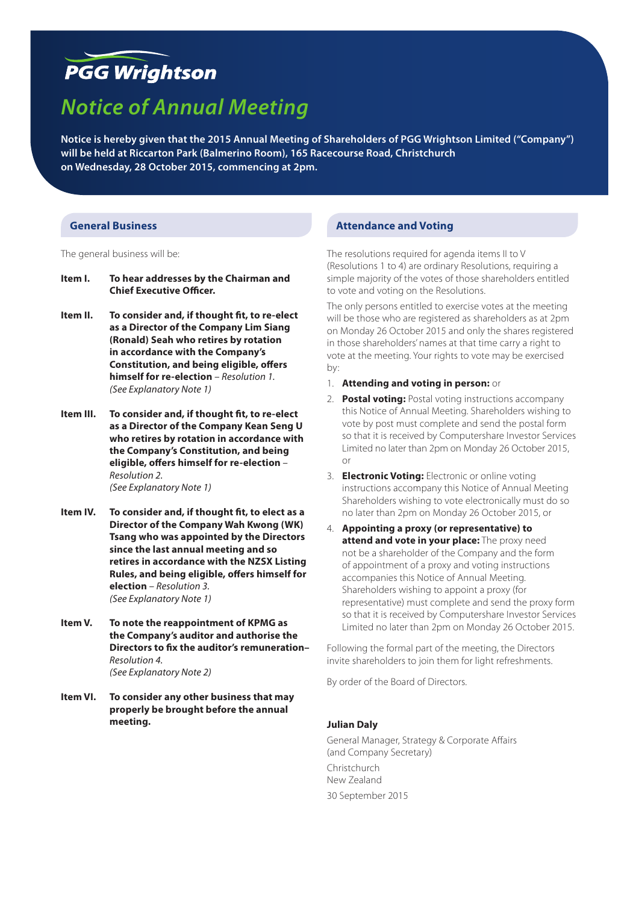# **PGG Wrightson**

# *Notice of Annual Meeting*

**Notice is hereby given that the 2015 Annual Meeting of Shareholders of PGG Wrightson Limited ("Company") will be held at Riccarton Park (Balmerino Room), 165 Racecourse Road, Christchurch on Wednesday, 28 October 2015, commencing at 2pm.**

#### **General Business**

The general business will be:

- **Item I. To hear addresses by the Chairman and Chief Executive Officer.**
- **Item II. To consider and, if thought fit, to re-elect as a Director of the Company Lim Siang (Ronald) Seah who retires by rotation in accordance with the Company's Constitution, and being eligible, offers himself for re-election** *– Resolution 1. (See Explanatory Note 1)*
- **Item III. To consider and, if thought fit, to re-elect as a Director of the Company Kean Seng U who retires by rotation in accordance with the Company's Constitution, and being eligible, offers himself for re-election** *– Resolution 2. (See Explanatory Note 1)*
- **Item IV. To consider and, if thought fit, to elect as a Director of the Company Wah Kwong (WK) Tsang who was appointed by the Directors since the last annual meeting and so retires in accordance with the NZSX Listing Rules, and being eligible, offers himself for election** *– Resolution 3. (See Explanatory Note 1)*
- **Item V. To note the reappointment of KPMG as the Company's auditor and authorise the Directors to fix the auditor's remuneration–**  *Resolution 4. (See Explanatory Note 2)*
- **Item VI. To consider any other business that may properly be brought before the annual meeting.**

# **Attendance and Voting**

The resolutions required for agenda items II to V (Resolutions 1 to 4) are ordinary Resolutions, requiring a simple majority of the votes of those shareholders entitled to vote and voting on the Resolutions.

The only persons entitled to exercise votes at the meeting will be those who are registered as shareholders as at 2pm on Monday 26 October 2015 and only the shares registered in those shareholders' names at that time carry a right to vote at the meeting. Your rights to vote may be exercised by:

- 1. **Attending and voting in person:** or
- 2. **Postal voting:** Postal voting instructions accompany this Notice of Annual Meeting. Shareholders wishing to vote by post must complete and send the postal form so that it is received by Computershare Investor Services Limited no later than 2pm on Monday 26 October 2015, or
- 3. **Electronic Voting:** Electronic or online voting instructions accompany this Notice of Annual Meeting Shareholders wishing to vote electronically must do so no later than 2pm on Monday 26 October 2015, or
- 4. **Appointing a proxy (or representative) to attend and vote in your place:** The proxy need not be a shareholder of the Company and the form of appointment of a proxy and voting instructions accompanies this Notice of Annual Meeting. Shareholders wishing to appoint a proxy (for representative) must complete and send the proxy form so that it is received by Computershare Investor Services Limited no later than 2pm on Monday 26 October 2015.

Following the formal part of the meeting, the Directors invite shareholders to join them for light refreshments.

By order of the Board of Directors.

#### **Julian Daly**

General Manager, Strategy & Corporate Affairs (and Company Secretary) Christchurch New Zealand 30 September 2015